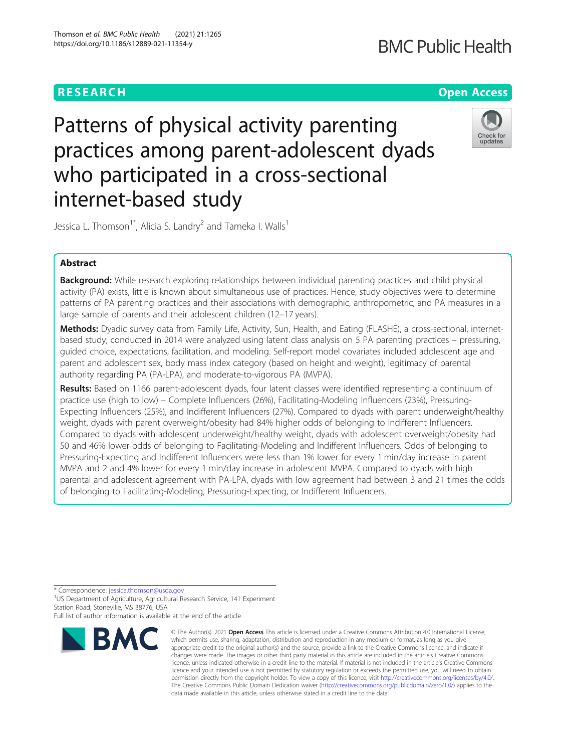# **BMC Public Health**

## **RESEARCH CHE Open Access**

# Patterns of physical activity parenting practices among parent-adolescent dyads who participated in a cross-sectional internet-based study



Jessica L. Thomson<sup>1\*</sup>, Alicia S. Landry<sup>2</sup> and Tameka I. Walls<sup>1</sup>

## Abstract

**Background:** While research exploring relationships between individual parenting practices and child physical activity (PA) exists, little is known about simultaneous use of practices. Hence, study objectives were to determine patterns of PA parenting practices and their associations with demographic, anthropometric, and PA measures in a large sample of parents and their adolescent children (12–17 years).

Methods: Dyadic survey data from Family Life, Activity, Sun, Health, and Eating (FLASHE), a cross-sectional, internetbased study, conducted in 2014 were analyzed using latent class analysis on 5 PA parenting practices – pressuring, guided choice, expectations, facilitation, and modeling. Self-report model covariates included adolescent age and parent and adolescent sex, body mass index category (based on height and weight), legitimacy of parental authority regarding PA (PA-LPA), and moderate-to-vigorous PA (MVPA).

Results: Based on 1166 parent-adolescent dyads, four latent classes were identified representing a continuum of practice use (high to low) – Complete Influencers (26%), Facilitating-Modeling Influencers (23%), Pressuring-Expecting Influencers (25%), and Indifferent Influencers (27%). Compared to dyads with parent underweight/healthy weight, dyads with parent overweight/obesity had 84% higher odds of belonging to Indifferent Influencers. Compared to dyads with adolescent underweight/healthy weight, dyads with adolescent overweight/obesity had 50 and 46% lower odds of belonging to Facilitating-Modeling and Indifferent Influencers. Odds of belonging to Pressuring-Expecting and Indifferent Influencers were less than 1% lower for every 1 min/day increase in parent MVPA and 2 and 4% lower for every 1 min/day increase in adolescent MVPA. Compared to dyads with high parental and adolescent agreement with PA-LPA, dyads with low agreement had between 3 and 21 times the odds of belonging to Facilitating-Modeling, Pressuring-Expecting, or Indifferent Influencers.

\* Correspondence: [jessica.thomson@usda.gov](mailto:jessica.thomson@usda.gov) <sup>1</sup>

<sup>1</sup>US Department of Agriculture, Agricultural Research Service, 141 Experiment Station Road, Stoneville, MS 38776, USA Full list of author information is available at the end of the article

**BMC** 

<sup>©</sup> The Author(s), 2021 **Open Access** This article is licensed under a Creative Commons Attribution 4.0 International License, which permits use, sharing, adaptation, distribution and reproduction in any medium or format, as long as you give appropriate credit to the original author(s) and the source, provide a link to the Creative Commons licence, and indicate if changes were made. The images or other third party material in this article are included in the article's Creative Commons licence, unless indicated otherwise in a credit line to the material. If material is not included in the article's Creative Commons licence and your intended use is not permitted by statutory regulation or exceeds the permitted use, you will need to obtain permission directly from the copyright holder. To view a copy of this licence, visit [http://creativecommons.org/licenses/by/4.0/.](http://creativecommons.org/licenses/by/4.0/) The Creative Commons Public Domain Dedication waiver [\(http://creativecommons.org/publicdomain/zero/1.0/](http://creativecommons.org/publicdomain/zero/1.0/)) applies to the data made available in this article, unless otherwise stated in a credit line to the data.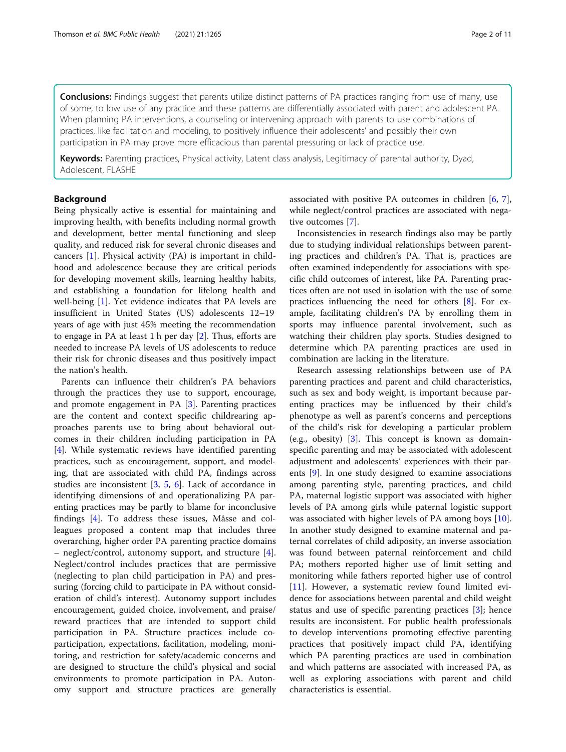**Conclusions:** Findings suggest that parents utilize distinct patterns of PA practices ranging from use of many, use of some, to low use of any practice and these patterns are differentially associated with parent and adolescent PA. When planning PA interventions, a counseling or intervening approach with parents to use combinations of practices, like facilitation and modeling, to positively influence their adolescents' and possibly their own participation in PA may prove more efficacious than parental pressuring or lack of practice use.

Keywords: Parenting practices, Physical activity, Latent class analysis, Legitimacy of parental authority, Dyad, Adolescent, FLASHE

#### Background

Being physically active is essential for maintaining and improving health, with benefits including normal growth and development, better mental functioning and sleep quality, and reduced risk for several chronic diseases and cancers [\[1](#page-9-0)]. Physical activity (PA) is important in childhood and adolescence because they are critical periods for developing movement skills, learning healthy habits, and establishing a foundation for lifelong health and well-being [[1\]](#page-9-0). Yet evidence indicates that PA levels are insufficient in United States (US) adolescents 12–19 years of age with just 45% meeting the recommendation to engage in PA at least 1 h per day [[2\]](#page-9-0). Thus, efforts are needed to increase PA levels of US adolescents to reduce their risk for chronic diseases and thus positively impact the nation's health.

Parents can influence their children's PA behaviors through the practices they use to support, encourage, and promote engagement in PA [[3\]](#page-9-0). Parenting practices are the content and context specific childrearing approaches parents use to bring about behavioral outcomes in their children including participation in PA [[4\]](#page-9-0). While systematic reviews have identified parenting practices, such as encouragement, support, and modeling, that are associated with child PA, findings across studies are inconsistent [[3](#page-9-0), [5](#page-9-0), [6](#page-9-0)]. Lack of accordance in identifying dimensions of and operationalizing PA parenting practices may be partly to blame for inconclusive findings [[4\]](#page-9-0). To address these issues, Mâsse and colleagues proposed a content map that includes three overarching, higher order PA parenting practice domains – neglect/control, autonomy support, and structure [\[4](#page-9-0)]. Neglect/control includes practices that are permissive (neglecting to plan child participation in PA) and pressuring (forcing child to participate in PA without consideration of child's interest). Autonomy support includes encouragement, guided choice, involvement, and praise/ reward practices that are intended to support child participation in PA. Structure practices include coparticipation, expectations, facilitation, modeling, monitoring, and restriction for safety/academic concerns and are designed to structure the child's physical and social environments to promote participation in PA. Autonomy support and structure practices are generally

associated with positive PA outcomes in children [[6](#page-9-0), [7](#page-9-0)], while neglect/control practices are associated with negative outcomes [[7\]](#page-9-0).

Inconsistencies in research findings also may be partly due to studying individual relationships between parenting practices and children's PA. That is, practices are often examined independently for associations with specific child outcomes of interest, like PA. Parenting practices often are not used in isolation with the use of some practices influencing the need for others [[8\]](#page-9-0). For example, facilitating children's PA by enrolling them in sports may influence parental involvement, such as watching their children play sports. Studies designed to determine which PA parenting practices are used in combination are lacking in the literature.

Research assessing relationships between use of PA parenting practices and parent and child characteristics, such as sex and body weight, is important because parenting practices may be influenced by their child's phenotype as well as parent's concerns and perceptions of the child's risk for developing a particular problem (e.g., obesity) [\[3](#page-9-0)]. This concept is known as domainspecific parenting and may be associated with adolescent adjustment and adolescents' experiences with their parents [[9\]](#page-9-0). In one study designed to examine associations among parenting style, parenting practices, and child PA, maternal logistic support was associated with higher levels of PA among girls while paternal logistic support was associated with higher levels of PA among boys [\[10](#page-9-0)]. In another study designed to examine maternal and paternal correlates of child adiposity, an inverse association was found between paternal reinforcement and child PA; mothers reported higher use of limit setting and monitoring while fathers reported higher use of control [[11\]](#page-9-0). However, a systematic review found limited evidence for associations between parental and child weight status and use of specific parenting practices [[3](#page-9-0)]; hence results are inconsistent. For public health professionals to develop interventions promoting effective parenting practices that positively impact child PA, identifying which PA parenting practices are used in combination and which patterns are associated with increased PA, as well as exploring associations with parent and child characteristics is essential.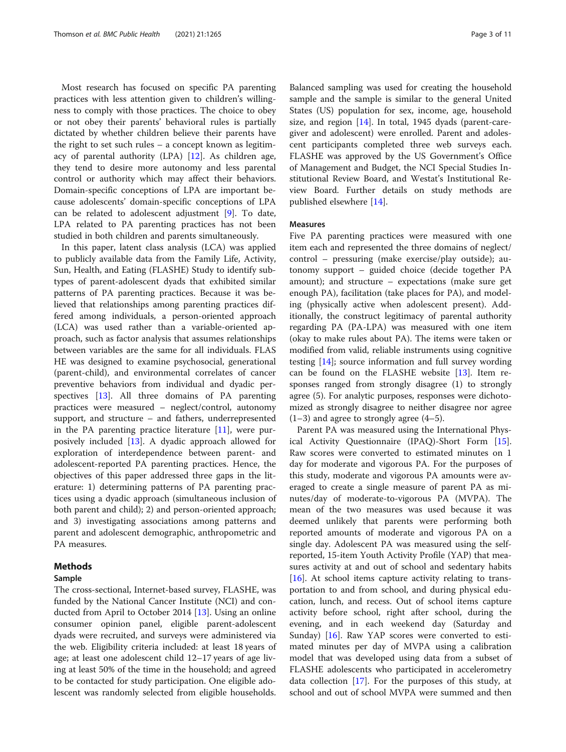Most research has focused on specific PA parenting practices with less attention given to children's willingness to comply with those practices. The choice to obey or not obey their parents' behavioral rules is partially dictated by whether children believe their parents have the right to set such rules – a concept known as legitimacy of parental authority (LPA) [[12](#page-9-0)]. As children age, they tend to desire more autonomy and less parental control or authority which may affect their behaviors. Domain-specific conceptions of LPA are important because adolescents' domain-specific conceptions of LPA can be related to adolescent adjustment [[9\]](#page-9-0). To date, LPA related to PA parenting practices has not been studied in both children and parents simultaneously.

In this paper, latent class analysis (LCA) was applied to publicly available data from the Family Life, Activity, Sun, Health, and Eating (FLASHE) Study to identify subtypes of parent-adolescent dyads that exhibited similar patterns of PA parenting practices. Because it was believed that relationships among parenting practices differed among individuals, a person-oriented approach (LCA) was used rather than a variable-oriented approach, such as factor analysis that assumes relationships between variables are the same for all individuals. FLAS HE was designed to examine psychosocial, generational (parent-child), and environmental correlates of cancer preventive behaviors from individual and dyadic perspectives [[13](#page-9-0)]. All three domains of PA parenting practices were measured – neglect/control, autonomy support, and structure – and fathers, underrepresented in the PA parenting practice literature [\[11\]](#page-9-0), were purposively included [\[13](#page-9-0)]. A dyadic approach allowed for exploration of interdependence between parent- and adolescent-reported PA parenting practices. Hence, the objectives of this paper addressed three gaps in the literature: 1) determining patterns of PA parenting practices using a dyadic approach (simultaneous inclusion of both parent and child); 2) and person-oriented approach; and 3) investigating associations among patterns and parent and adolescent demographic, anthropometric and PA measures.

#### Methods

#### Sample

The cross-sectional, Internet-based survey, FLASHE, was funded by the National Cancer Institute (NCI) and conducted from April to October 2014 [[13](#page-9-0)]. Using an online consumer opinion panel, eligible parent-adolescent dyads were recruited, and surveys were administered via the web. Eligibility criteria included: at least 18 years of age; at least one adolescent child 12–17 years of age living at least 50% of the time in the household; and agreed to be contacted for study participation. One eligible adolescent was randomly selected from eligible households.

Balanced sampling was used for creating the household sample and the sample is similar to the general United States (US) population for sex, income, age, household size, and region [\[14\]](#page-9-0). In total, 1945 dyads (parent-caregiver and adolescent) were enrolled. Parent and adolescent participants completed three web surveys each. FLASHE was approved by the US Government's Office of Management and Budget, the NCI Special Studies Institutional Review Board, and Westat's Institutional Review Board. Further details on study methods are published elsewhere [\[14\]](#page-9-0).

#### Measures

Five PA parenting practices were measured with one item each and represented the three domains of neglect/ control – pressuring (make exercise/play outside); autonomy support – guided choice (decide together PA amount); and structure – expectations (make sure get enough PA), facilitation (take places for PA), and modeling (physically active when adolescent present). Additionally, the construct legitimacy of parental authority regarding PA (PA-LPA) was measured with one item (okay to make rules about PA). The items were taken or modified from valid, reliable instruments using cognitive testing [[14](#page-9-0)]; source information and full survey wording can be found on the FLASHE website  $[13]$ . Item responses ranged from strongly disagree (1) to strongly agree (5). For analytic purposes, responses were dichotomized as strongly disagree to neither disagree nor agree  $(1-3)$  and agree to strongly agree  $(4-5)$ .

Parent PA was measured using the International Physical Activity Questionnaire (IPAQ)-Short Form [\[15](#page-9-0)]. Raw scores were converted to estimated minutes on 1 day for moderate and vigorous PA. For the purposes of this study, moderate and vigorous PA amounts were averaged to create a single measure of parent PA as minutes/day of moderate-to-vigorous PA (MVPA). The mean of the two measures was used because it was deemed unlikely that parents were performing both reported amounts of moderate and vigorous PA on a single day. Adolescent PA was measured using the selfreported, 15-item Youth Activity Profile (YAP) that measures activity at and out of school and sedentary habits  $[16]$  $[16]$ . At school items capture activity relating to transportation to and from school, and during physical education, lunch, and recess. Out of school items capture activity before school, right after school, during the evening, and in each weekend day (Saturday and Sunday) [\[16](#page-9-0)]. Raw YAP scores were converted to estimated minutes per day of MVPA using a calibration model that was developed using data from a subset of FLASHE adolescents who participated in accelerometry data collection [[17\]](#page-9-0). For the purposes of this study, at school and out of school MVPA were summed and then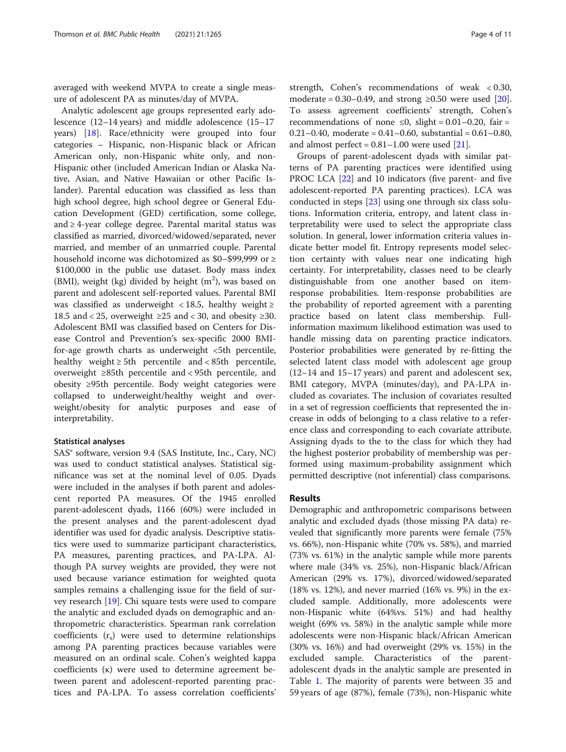averaged with weekend MVPA to create a single measure of adolescent PA as minutes/day of MVPA.

Analytic adolescent age groups represented early adolescence (12–14 years) and middle adolescence (15–17 years) [[18](#page-9-0)]. Race/ethnicity were grouped into four categories – Hispanic, non-Hispanic black or African American only, non-Hispanic white only, and non-Hispanic other (included American Indian or Alaska Native, Asian, and Native Hawaiian or other Pacific Islander). Parental education was classified as less than high school degree, high school degree or General Education Development (GED) certification, some college, and  $\geq$  4-year college degree. Parental marital status was classified as married, divorced/widowed/separated, never married, and member of an unmarried couple. Parental household income was dichotomized as \$0–\$99,999 or ≥ \$100,000 in the public use dataset. Body mass index (BMI), weight (kg) divided by height  $(m^2)$ , was based on parent and adolescent self-reported values. Parental BMI was classified as underweight < 18.5, healthy weight  $\ge$ 18.5 and < 25, overweight  $\geq 25$  and < 30, and obesity  $\geq 30$ . Adolescent BMI was classified based on Centers for Disease Control and Prevention's sex-specific 2000 BMIfor-age growth charts as underweight  $\lt 5$ th percentile, healthy weight ≥ 5th percentile and < 85th percentile, overweight ≥85th percentile and < 95th percentile, and obesity ≥95th percentile. Body weight categories were collapsed to underweight/healthy weight and overweight/obesity for analytic purposes and ease of interpretability.

#### Statistical analyses

SAS® software, version 9.4 (SAS Institute, Inc., Cary, NC) was used to conduct statistical analyses. Statistical significance was set at the nominal level of 0.05. Dyads were included in the analyses if both parent and adolescent reported PA measures. Of the 1945 enrolled parent-adolescent dyads, 1166 (60%) were included in the present analyses and the parent-adolescent dyad identifier was used for dyadic analysis. Descriptive statistics were used to summarize participant characteristics, PA measures, parenting practices, and PA-LPA. Although PA survey weights are provided, they were not used because variance estimation for weighted quota samples remains a challenging issue for the field of survey research [\[19](#page-9-0)]. Chi square tests were used to compare the analytic and excluded dyads on demographic and anthropometric characteristics. Spearman rank correlation coefficients  $(r<sub>s</sub>)$  were used to determine relationships among PA parenting practices because variables were measured on an ordinal scale. Cohen's weighted kappa coefficients (κ) were used to determine agreement between parent and adolescent-reported parenting practices and PA-LPA. To assess correlation coefficients'

strength, Cohen's recommendations of weak < 0.30, moderate =  $0.30-0.49$ , and strong ≥0.50 were used [\[20](#page-9-0)]. To assess agreement coefficients' strength, Cohen's recommendations of none  $\leq 0$ , slight = 0.01–0.20, fair = 0.21–0.40, moderate = 0.41–0.60, substantial = 0.61–0.80, and almost perfect =  $0.81-1.00$  were used [\[21](#page-9-0)].

Groups of parent-adolescent dyads with similar patterns of PA parenting practices were identified using PROC LCA [[22\]](#page-9-0) and 10 indicators (five parent- and five adolescent-reported PA parenting practices). LCA was conducted in steps [[23\]](#page-9-0) using one through six class solutions. Information criteria, entropy, and latent class interpretability were used to select the appropriate class solution. In general, lower information criteria values indicate better model fit. Entropy represents model selection certainty with values near one indicating high certainty. For interpretability, classes need to be clearly distinguishable from one another based on itemresponse probabilities. Item-response probabilities are the probability of reported agreement with a parenting practice based on latent class membership. Fullinformation maximum likelihood estimation was used to handle missing data on parenting practice indicators. Posterior probabilities were generated by re-fitting the selected latent class model with adolescent age group (12–14 and 15–17 years) and parent and adolescent sex, BMI category, MVPA (minutes/day), and PA-LPA included as covariates. The inclusion of covariates resulted in a set of regression coefficients that represented the increase in odds of belonging to a class relative to a reference class and corresponding to each covariate attribute. Assigning dyads to the to the class for which they had the highest posterior probability of membership was performed using maximum-probability assignment which permitted descriptive (not inferential) class comparisons.

#### Results

Demographic and anthropometric comparisons between analytic and excluded dyads (those missing PA data) revealed that significantly more parents were female (75% vs. 66%), non-Hispanic white (70% vs. 58%), and married (73% vs. 61%) in the analytic sample while more parents where male (34% vs. 25%), non-Hispanic black/African American (29% vs. 17%), divorced/widowed/separated (18% vs. 12%), and never married (16% vs. 9%) in the excluded sample. Additionally, more adolescents were non-Hispanic white (64%vs. 51%) and had healthy weight (69% vs. 58%) in the analytic sample while more adolescents were non-Hispanic black/African American (30% vs. 16%) and had overweight (29% vs. 15%) in the excluded sample. Characteristics of the parentadolescent dyads in the analytic sample are presented in Table [1.](#page-4-0) The majority of parents were between 35 and 59 years of age (87%), female (73%), non-Hispanic white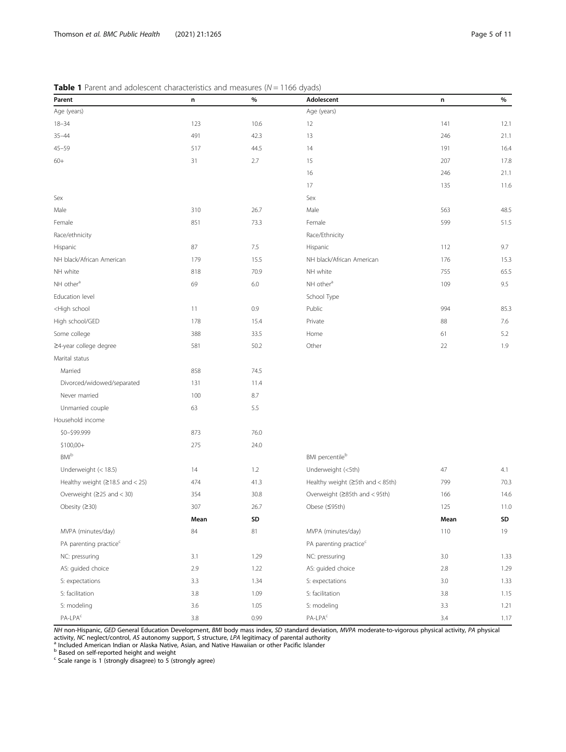<span id="page-4-0"></span>**Table 1** Parent and adolescent characteristics and measures ( $N = 1166$  dyads)

| Parent                                                                                        | n       | $\%$   | Adolescent                         | n       | $\%$ |
|-----------------------------------------------------------------------------------------------|---------|--------|------------------------------------|---------|------|
| Age (years)                                                                                   |         |        | Age (years)                        |         |      |
| $18 - 34$                                                                                     | 123     | 10.6   | 12                                 | 141     | 12.1 |
| $35 - 44$                                                                                     | 491     | 42.3   | 13                                 | 246     | 21.1 |
| $45 - 59$                                                                                     | 517     | 44.5   | 14                                 | 191     | 16.4 |
| $60+$                                                                                         | 31      | 2.7    | 15                                 | 207     | 17.8 |
|                                                                                               |         |        | 16                                 | 246     | 21.1 |
|                                                                                               |         |        | 17                                 | 135     | 11.6 |
| Sex                                                                                           |         |        | Sex                                |         |      |
| Male                                                                                          | 310     | 26.7   | Male                               | 563     | 48.5 |
| Female                                                                                        | 851     | 73.3   | Female                             | 599     | 51.5 |
| Race/ethnicity                                                                                |         |        | Race/Ethnicity                     |         |      |
| Hispanic                                                                                      | 87      | 7.5    | Hispanic                           | 112     | 9.7  |
| NH black/African American                                                                     | 179     | 15.5   | NH black/African American          | 176     | 15.3 |
| NH white                                                                                      | 818     | 70.9   | NH white                           | 755     | 65.5 |
| NH other <sup>a</sup>                                                                         | 69      | 6.0    | NH other <sup>a</sup>              | 109     | 9.5  |
| Education level                                                                               |         |        | School Type                        |         |      |
| <high school<="" td=""><td>11</td><td>0.9</td><td>Public</td><td>994</td><td>85.3</td></high> | 11      | 0.9    | Public                             | 994     | 85.3 |
| High school/GED                                                                               | 178     | 15.4   | Private                            | 88      | 7.6  |
| Some college                                                                                  | 388     | 33.5   | Home                               | 61      | 5.2  |
| ≥4-year college degree                                                                        | 581     | 50.2   | Other                              | 22      | 1.9  |
| Marital status                                                                                |         |        |                                    |         |      |
| Married                                                                                       | 858     | 74.5   |                                    |         |      |
| Divorced/widowed/separated                                                                    | 131     | 11.4   |                                    |         |      |
| Never married                                                                                 | 100     | 8.7    |                                    |         |      |
| Unmarried couple                                                                              | 63      | 5.5    |                                    |         |      |
| Household income                                                                              |         |        |                                    |         |      |
| \$0-\$99.999                                                                                  | 873     | 76.0   |                                    |         |      |
| $$100,00+$                                                                                    | 275     | 24.0   |                                    |         |      |
| <b>BMI</b> b                                                                                  |         |        | BMI percentileb                    |         |      |
| Underweight (< 18.5)                                                                          | 14      | 1.2    | Underweight (<5th)                 | 47      | 4.1  |
| Healthy weight ( $\geq$ 18.5 and < 25)                                                        | 474     | 41.3   | Healthy weight (≥5th and < 85th)   | 799     | 70.3 |
| Overweight $(225$ and < 30)                                                                   | 354     | 30.8   | Overweight (≥85th and < 95th)      | 166     | 14.6 |
| Obesity $(230)$                                                                               | 307     | 26.7   | Obese (≤95th)                      | 125     | 11.0 |
|                                                                                               | Mean    | SD     |                                    | Mean    | SD   |
| MVPA (minutes/day)                                                                            | 84      | $81\,$ | MVPA (minutes/day)                 | 110     | 19   |
| PA parenting practice <sup>c</sup>                                                            |         |        | PA parenting practice <sup>c</sup> |         |      |
| NC: pressuring                                                                                | 3.1     | 1.29   | NC: pressuring                     | $3.0\,$ | 1.33 |
| AS: guided choice                                                                             | 2.9     | 1.22   | AS: guided choice                  | 2.8     | 1.29 |
| S: expectations                                                                               | 3.3     | 1.34   | S: expectations                    | $3.0\,$ | 1.33 |
| S: facilitation                                                                               | $3.8\,$ | 1.09   | S: facilitation                    | 3.8     | 1.15 |
| S: modeling                                                                                   | 3.6     | 1.05   | S: modeling                        | 3.3     | 1.21 |
| $PA-LPAc$                                                                                     | $3.8\,$ | 0.99   | $PA-LPAc$                          | 3.4     | 1.17 |

NH non-Hispanic, GED General Education Development, BMI body mass index, SD standard deviation, MVPA moderate-to-vigorous physical activity, PA physical activity, NC neglect/control, AS autonomy support, S structure, LPA legitimacy of parental authority<br><sup>a</sup> Included American Indian or Alaska Native, Asian, and Native Hawaiian or other Pacific Islander

<sup>b</sup> Based on self-reported height and weight<br><sup>c</sup> Scale range is 1 (strongly disagree) to 5 (strongly agree)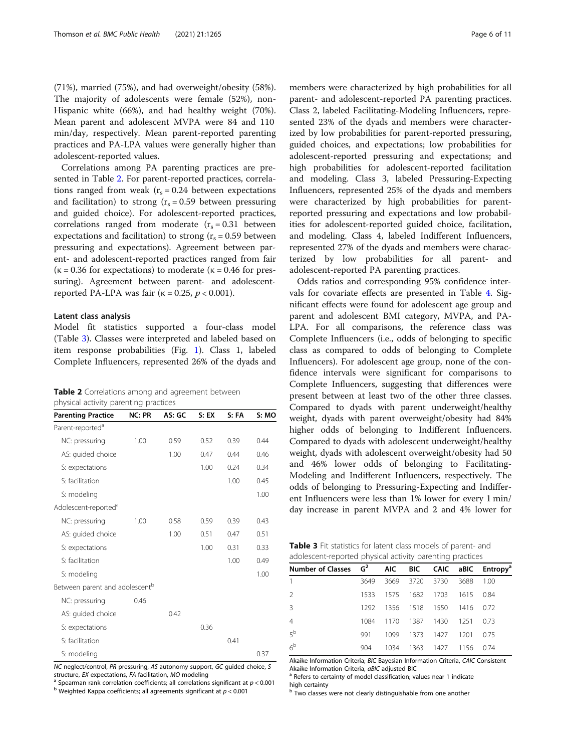(71%), married (75%), and had overweight/obesity (58%). The majority of adolescents were female (52%), non-Hispanic white (66%), and had healthy weight (70%). Mean parent and adolescent MVPA were 84 and 110 min/day, respectively. Mean parent-reported parenting practices and PA-LPA values were generally higher than adolescent-reported values.

Correlations among PA parenting practices are presented in Table 2. For parent-reported practices, correlations ranged from weak  $(r_s = 0.24$  between expectations and facilitation) to strong  $(r_s = 0.59)$  between pressuring and guided choice). For adolescent-reported practices, correlations ranged from moderate  $(r_s = 0.31)$  between expectations and facilitation) to strong  $(r_s = 0.59)$  between pressuring and expectations). Agreement between parent- and adolescent-reported practices ranged from fair ( $\kappa$  = 0.36 for expectations) to moderate ( $\kappa$  = 0.46 for pressuring). Agreement between parent- and adolescentreported PA-LPA was fair ( $\kappa = 0.25$ ,  $p < 0.001$ ).

#### Latent class analysis

Model fit statistics supported a four-class model (Table 3). Classes were interpreted and labeled based on item response probabilities (Fig. [1](#page-6-0)). Class 1, labeled Complete Influencers, represented 26% of the dyads and

|                                       |  | <b>Table 2</b> Correlations among and agreement between |  |
|---------------------------------------|--|---------------------------------------------------------|--|
| physical activity parenting practices |  |                                                         |  |

| <b>Parenting Practice</b>                  | <b>NC: PR</b> | AS: GC | S: EX | S: FA | S: MO |
|--------------------------------------------|---------------|--------|-------|-------|-------|
| Parent-reported <sup>a</sup>               |               |        |       |       |       |
| NC: pressuring                             | 1.00          | 0.59   | 0.52  | 0.39  | 0.44  |
| AS: guided choice                          |               | 1.00   | 0.47  | 0.44  | 0.46  |
| S: expectations                            |               |        | 1.00  | 0.24  | 0.34  |
| S: facilitation                            |               |        |       | 1.00  | 0.45  |
| S: modeling                                |               |        |       |       | 1.00  |
| Adolescent-reported <sup>a</sup>           |               |        |       |       |       |
| NC: pressuring                             | 1.00          | 0.58   | 0.59  | 0.39  | 0.43  |
| AS: guided choice                          |               | 1.00   | 0.51  | 0.47  | 0.51  |
| S: expectations                            |               |        | 1.00  | 0.31  | 0.33  |
| S: facilitation                            |               |        |       | 1.00  | 0.49  |
| S: modeling                                |               |        |       |       | 1.00  |
| Between parent and adolescent <sup>b</sup> |               |        |       |       |       |
| NC: pressuring                             | 0.46          |        |       |       |       |
| AS: guided choice                          |               | 0.42   |       |       |       |
| S: expectations                            |               |        | 0.36  |       |       |
| S: facilitation                            |               |        |       | 0.41  |       |
| S: modeling                                |               |        |       |       | 0.37  |

NC neglect/control, PR pressuring, AS autonomy support, GC guided choice, S

structure, *EX* expectations, FA facilitation, MO modeling<br><sup>a</sup> Spearman rank correlation coefficients; all correlations significant at  $p < 0.001$ <br><sup>b</sup> Weighted Kappa coefficients; all agreements significant at  $p < 0.001$ 

members were characterized by high probabilities for all parent- and adolescent-reported PA parenting practices. Class 2, labeled Facilitating-Modeling Influencers, represented 23% of the dyads and members were characterized by low probabilities for parent-reported pressuring, guided choices, and expectations; low probabilities for adolescent-reported pressuring and expectations; and high probabilities for adolescent-reported facilitation and modeling. Class 3, labeled Pressuring-Expecting Influencers, represented 25% of the dyads and members were characterized by high probabilities for parentreported pressuring and expectations and low probabilities for adolescent-reported guided choice, facilitation, and modeling. Class 4, labeled Indifferent Influencers, represented 27% of the dyads and members were characterized by low probabilities for all parent- and adolescent-reported PA parenting practices.

Odds ratios and corresponding 95% confidence intervals for covariate effects are presented in Table [4](#page-6-0). Significant effects were found for adolescent age group and parent and adolescent BMI category, MVPA, and PA-LPA. For all comparisons, the reference class was Complete Influencers (i.e., odds of belonging to specific class as compared to odds of belonging to Complete Influencers). For adolescent age group, none of the confidence intervals were significant for comparisons to Complete Influencers, suggesting that differences were present between at least two of the other three classes. Compared to dyads with parent underweight/healthy weight, dyads with parent overweight/obesity had 84% higher odds of belonging to Indifferent Influencers. Compared to dyads with adolescent underweight/healthy weight, dyads with adolescent overweight/obesity had 50 and 46% lower odds of belonging to Facilitating-Modeling and Indifferent Influencers, respectively. The odds of belonging to Pressuring-Expecting and Indifferent Influencers were less than 1% lower for every 1 min/ day increase in parent MVPA and 2 and 4% lower for

Table 3 Fit statistics for latent class models of parent- and adolescent-reported physical activity parenting practices

| Number of Classes $G^2$ AIC BIC CAIC aBIC Entropy <sup>a</sup> |      |  |                               |  |
|----------------------------------------------------------------|------|--|-------------------------------|--|
| $\mathbf{1}$                                                   |      |  | 3649 3669 3720 3730 3688 1.00 |  |
| 2                                                              | 1533 |  | 1575 1682 1703 1615 0.84      |  |
| 3                                                              |      |  | 1292 1356 1518 1550 1416 0.72 |  |
| 4                                                              | 1084 |  | 1170 1387 1430 1251 0.73      |  |
| 5 <sup>b</sup>                                                 | 991  |  | 1099 1373 1427 1201 0.75      |  |
| $6^{\rm b}$                                                    | 904  |  | 1034 1363 1427 1156 0.74      |  |

Akaike Information Criteria; BIC Bayesian Information Criteria, CAIC Consistent Akaike Information Criteria, aBIC adjusted BIC<br><sup>a</sup> Refers to certainty of model classification; values near 1 indicate

high certainty

 $b$  Two classes were not clearly distinguishable from one another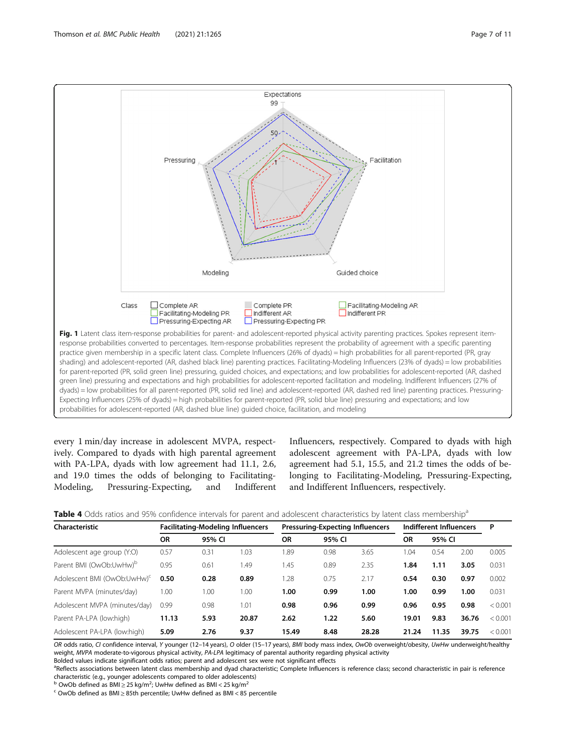

<span id="page-6-0"></span>

every 1 min/day increase in adolescent MVPA, respectively. Compared to dyads with high parental agreement with PA-LPA, dyads with low agreement had 11.1, 2.6, and 19.0 times the odds of belonging to Facilitating-Modeling, Pressuring-Expecting, and Indifferent Influencers, respectively. Compared to dyads with high adolescent agreement with PA-LPA, dyads with low agreement had 5.1, 15.5, and 21.2 times the odds of belonging to Facilitating-Modeling, Pressuring-Expecting, and Indifferent Influencers, respectively.

| Characteristic                          | <b>Facilitating-Modeling Influencers</b> |        |       | <b>Pressuring-Expecting Influencers</b> |        |       | Indifferent Influencers |        |       | P       |
|-----------------------------------------|------------------------------------------|--------|-------|-----------------------------------------|--------|-------|-------------------------|--------|-------|---------|
|                                         | ΟR                                       | 95% CI |       | <b>OR</b>                               | 95% CI |       | ΟR                      | 95% CI |       |         |
| Adolescent age group (Y:O)              | 0.57                                     | 0.31   | 1.03  | 1.89                                    | 0.98   | 3.65  | .04                     | 0.54   | 2.00  | 0.005   |
| Parent BMI (OwOb:UwHw) <sup>D</sup>     | 0.95                                     | 0.61   | 1.49  | 1.45                                    | 0.89   | 2.35  | 1.84                    | 1.11   | 3.05  | 0.031   |
| Adolescent BMI (OwOb:UwHw) <sup>c</sup> | 0.50                                     | 0.28   | 0.89  | 1.28                                    | 0.75   | 2.17  | 0.54                    | 0.30   | 0.97  | 0.002   |
| Parent MVPA (minutes/day)               | 1.00                                     | 1.00   | 1.00  | 1.00                                    | 0.99   | 1.00  | 1.00                    | 0.99   | 1.00  | 0.031   |
| Adolescent MVPA (minutes/day)           | 0.99                                     | 0.98   | 1.01  | 0.98                                    | 0.96   | 0.99  | 0.96                    | 0.95   | 0.98  | < 0.001 |
| Parent PA-LPA (low:high)                | 11.13                                    | 5.93   | 20.87 | 2.62                                    | 1.22   | 5.60  | 19.01                   | 9.83   | 36.76 | < 0.001 |
| Adolescent PA-LPA (low:high)            | 5.09                                     | 2.76   | 9.37  | 15.49                                   | 8.48   | 28.28 | 21.24                   | 11.35  | 39.75 | < 0.001 |

| Table 4 Odds ratios and 95% confidence intervals for parent and adolescent characteristics by latent class membership <sup>8</sup> |  |  |  |
|------------------------------------------------------------------------------------------------------------------------------------|--|--|--|
|------------------------------------------------------------------------------------------------------------------------------------|--|--|--|

OR odds ratio, CI confidence interval, Y younger (12-14 years), O older (15-17 years), BMI body mass index, OwOb overweight/obesity, UwHw underweight/healthy weight, MVPA moderate-to-vigorous physical activity, PA-LPA legitimacy of parental authority regarding physical activity

Bolded values indicate significant odds ratios; parent and adolescent sex were not significant effects

<sup>a</sup>Reflects associations between latent class membership and dyad characteristic; Complete Influencers is reference class; second characteristic in pair is reference characteristic (e.g., younger adolescents compared to older adolescents)<br><sup>b</sup> OwOb defined as BMI≥25 kg/m<sup>2</sup>; UwHw defined as BMI < 25 kg/m<sup>2</sup>

 $\textdegree$  OwOb defined as BMI  $\geq$  85th percentile; UwHw defined as BMI < 85 percentile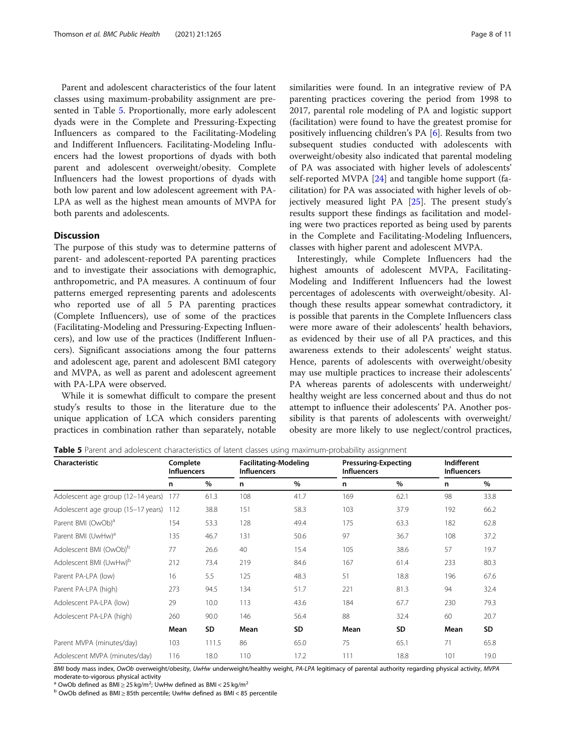Parent and adolescent characteristics of the four latent classes using maximum-probability assignment are presented in Table 5. Proportionally, more early adolescent dyads were in the Complete and Pressuring-Expecting Influencers as compared to the Facilitating-Modeling and Indifferent Influencers. Facilitating-Modeling Influencers had the lowest proportions of dyads with both parent and adolescent overweight/obesity. Complete Influencers had the lowest proportions of dyads with both low parent and low adolescent agreement with PA-LPA as well as the highest mean amounts of MVPA for both parents and adolescents.

### **Discussion**

The purpose of this study was to determine patterns of parent- and adolescent-reported PA parenting practices and to investigate their associations with demographic, anthropometric, and PA measures. A continuum of four patterns emerged representing parents and adolescents who reported use of all 5 PA parenting practices (Complete Influencers), use of some of the practices (Facilitating-Modeling and Pressuring-Expecting Influencers), and low use of the practices (Indifferent Influencers). Significant associations among the four patterns and adolescent age, parent and adolescent BMI category and MVPA, as well as parent and adolescent agreement with PA-LPA were observed.

While it is somewhat difficult to compare the present study's results to those in the literature due to the unique application of LCA which considers parenting practices in combination rather than separately, notable similarities were found. In an integrative review of PA parenting practices covering the period from 1998 to 2017, parental role modeling of PA and logistic support (facilitation) were found to have the greatest promise for positively influencing children's PA [\[6](#page-9-0)]. Results from two subsequent studies conducted with adolescents with overweight/obesity also indicated that parental modeling of PA was associated with higher levels of adolescents' self-reported MVPA [\[24](#page-9-0)] and tangible home support (facilitation) for PA was associated with higher levels of objectively measured light PA [[25\]](#page-9-0). The present study's results support these findings as facilitation and modeling were two practices reported as being used by parents in the Complete and Facilitating-Modeling Influencers, classes with higher parent and adolescent MVPA.

Interestingly, while Complete Influencers had the highest amounts of adolescent MVPA, Facilitating-Modeling and Indifferent Influencers had the lowest percentages of adolescents with overweight/obesity. Although these results appear somewhat contradictory, it is possible that parents in the Complete Influencers class were more aware of their adolescents' health behaviors, as evidenced by their use of all PA practices, and this awareness extends to their adolescents' weight status. Hence, parents of adolescents with overweight/obesity may use multiple practices to increase their adolescents' PA whereas parents of adolescents with underweight/ healthy weight are less concerned about and thus do not attempt to influence their adolescents' PA. Another possibility is that parents of adolescents with overweight/ obesity are more likely to use neglect/control practices,

| Characteristic                     | Complete<br><b>Influencers</b> |       | <b>Facilitating-Modeling</b><br><b>Influencers</b> |      | <b>Pressuring-Expecting</b><br><b>Influencers</b> |           | Indifferent<br><b>Influencers</b> |           |
|------------------------------------|--------------------------------|-------|----------------------------------------------------|------|---------------------------------------------------|-----------|-----------------------------------|-----------|
|                                    | n                              | $\%$  | n                                                  | %    | n                                                 | %         | n                                 | $\%$      |
| Adolescent age group (12-14 years) | 177                            | 61.3  | 108                                                | 41.7 | 169                                               | 62.1      | 98                                | 33.8      |
| Adolescent age group (15-17 years) | 112                            | 38.8  | 151                                                | 58.3 | 103                                               | 37.9      | 192                               | 66.2      |
| Parent BMI (OwOb) <sup>a</sup>     | 154                            | 53.3  | 128                                                | 49.4 | 175                                               | 63.3      | 182                               | 62.8      |
| Parent BMI (UwHw) <sup>a</sup>     | 135                            | 46.7  | 131                                                | 50.6 | 97                                                | 36.7      | 108                               | 37.2      |
| Adolescent BMI (OwOb) <sup>b</sup> | 77                             | 26.6  | 40                                                 | 15.4 | 105                                               | 38.6      | 57                                | 19.7      |
| Adolescent BMI (UwHw) <sup>b</sup> | 212                            | 73.4  | 219                                                | 84.6 | 167                                               | 61.4      | 233                               | 80.3      |
| Parent PA-LPA (low)                | 16                             | 5.5   | 125                                                | 48.3 | 51                                                | 18.8      | 196                               | 67.6      |
| Parent PA-LPA (high)               | 273                            | 94.5  | 134                                                | 51.7 | 221                                               | 81.3      | 94                                | 32.4      |
| Adolescent PA-LPA (low)            | 29                             | 10.0  | 113                                                | 43.6 | 184                                               | 67.7      | 230                               | 79.3      |
| Adolescent PA-LPA (high)           | 260                            | 90.0  | 146                                                | 56.4 | 88                                                | 32.4      | 60                                | 20.7      |
|                                    | Mean                           | SD    | Mean                                               | SD   | Mean                                              | <b>SD</b> | Mean                              | <b>SD</b> |
| Parent MVPA (minutes/day)          | 103                            | 111.5 | 86                                                 | 65.0 | 75                                                | 65.1      | 71                                | 65.8      |
| Adolescent MVPA (minutes/day)      | 116                            | 18.0  | 110                                                | 17.2 | 111                                               | 18.8      | 101                               | 19.0      |

Table 5 Parent and adolescent characteristics of latent classes using maximum-probability assignment

BMI body mass index, OwOb overweight/obesity, UwHw underweight/healthy weight, PA-LPA legitimacy of parental authority regarding physical activity, MVPA moderate-to-vigorous physical activity

<sup>a</sup> OwOb defined as  $\text{BMI} \geq 25 \text{ kg/m}^2$ ; UwHw defined as  $\text{BMI} < 25 \text{ kg/m}^2$ 

<sup>b</sup> OwOb defined as BMI ≥ 85th percentile; UwHw defined as BMI < 85 percentile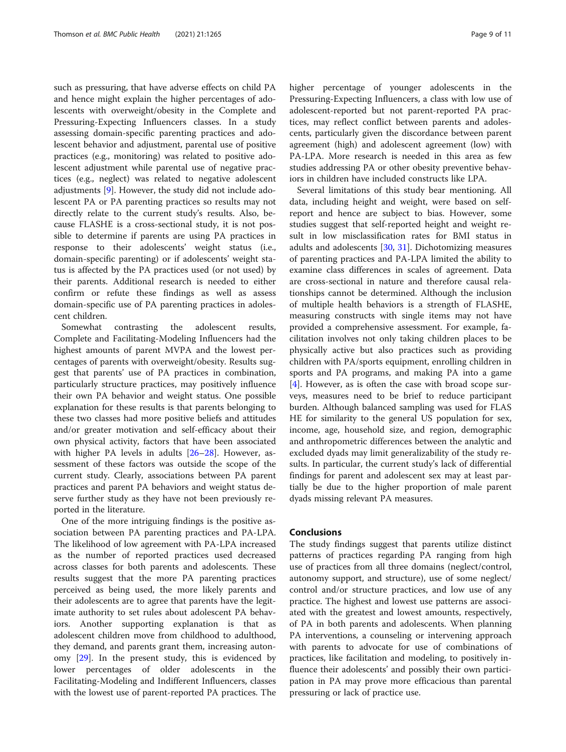such as pressuring, that have adverse effects on child PA and hence might explain the higher percentages of adolescents with overweight/obesity in the Complete and Pressuring-Expecting Influencers classes. In a study assessing domain-specific parenting practices and adolescent behavior and adjustment, parental use of positive practices (e.g., monitoring) was related to positive adolescent adjustment while parental use of negative practices (e.g., neglect) was related to negative adolescent adjustments [\[9\]](#page-9-0). However, the study did not include adolescent PA or PA parenting practices so results may not directly relate to the current study's results. Also, because FLASHE is a cross-sectional study, it is not possible to determine if parents are using PA practices in response to their adolescents' weight status (i.e., domain-specific parenting) or if adolescents' weight status is affected by the PA practices used (or not used) by their parents. Additional research is needed to either confirm or refute these findings as well as assess domain-specific use of PA parenting practices in adolescent children.

Somewhat contrasting the adolescent results, Complete and Facilitating-Modeling Influencers had the highest amounts of parent MVPA and the lowest percentages of parents with overweight/obesity. Results suggest that parents' use of PA practices in combination, particularly structure practices, may positively influence their own PA behavior and weight status. One possible explanation for these results is that parents belonging to these two classes had more positive beliefs and attitudes and/or greater motivation and self-efficacy about their own physical activity, factors that have been associated with higher PA levels in adults [[26](#page-10-0)–[28](#page-10-0)]. However, assessment of these factors was outside the scope of the current study. Clearly, associations between PA parent practices and parent PA behaviors and weight status deserve further study as they have not been previously reported in the literature.

One of the more intriguing findings is the positive association between PA parenting practices and PA-LPA. The likelihood of low agreement with PA-LPA increased as the number of reported practices used decreased across classes for both parents and adolescents. These results suggest that the more PA parenting practices perceived as being used, the more likely parents and their adolescents are to agree that parents have the legitimate authority to set rules about adolescent PA behaviors. Another supporting explanation is that as adolescent children move from childhood to adulthood, they demand, and parents grant them, increasing autonomy [\[29](#page-10-0)]. In the present study, this is evidenced by lower percentages of older adolescents in the Facilitating-Modeling and Indifferent Influencers, classes with the lowest use of parent-reported PA practices. The higher percentage of younger adolescents in the Pressuring-Expecting Influencers, a class with low use of adolescent-reported but not parent-reported PA practices, may reflect conflict between parents and adolescents, particularly given the discordance between parent agreement (high) and adolescent agreement (low) with PA-LPA. More research is needed in this area as few studies addressing PA or other obesity preventive behaviors in children have included constructs like LPA.

Several limitations of this study bear mentioning. All data, including height and weight, were based on selfreport and hence are subject to bias. However, some studies suggest that self-reported height and weight result in low misclassification rates for BMI status in adults and adolescents [\[30](#page-10-0), [31](#page-10-0)]. Dichotomizing measures of parenting practices and PA-LPA limited the ability to examine class differences in scales of agreement. Data are cross-sectional in nature and therefore causal relationships cannot be determined. Although the inclusion of multiple health behaviors is a strength of FLASHE, measuring constructs with single items may not have provided a comprehensive assessment. For example, facilitation involves not only taking children places to be physically active but also practices such as providing children with PA/sports equipment, enrolling children in sports and PA programs, and making PA into a game [[4\]](#page-9-0). However, as is often the case with broad scope surveys, measures need to be brief to reduce participant burden. Although balanced sampling was used for FLAS HE for similarity to the general US population for sex, income, age, household size, and region, demographic and anthropometric differences between the analytic and excluded dyads may limit generalizability of the study results. In particular, the current study's lack of differential findings for parent and adolescent sex may at least partially be due to the higher proportion of male parent dyads missing relevant PA measures.

#### Conclusions

The study findings suggest that parents utilize distinct patterns of practices regarding PA ranging from high use of practices from all three domains (neglect/control, autonomy support, and structure), use of some neglect/ control and/or structure practices, and low use of any practice. The highest and lowest use patterns are associated with the greatest and lowest amounts, respectively, of PA in both parents and adolescents. When planning PA interventions, a counseling or intervening approach with parents to advocate for use of combinations of practices, like facilitation and modeling, to positively influence their adolescents' and possibly their own participation in PA may prove more efficacious than parental pressuring or lack of practice use.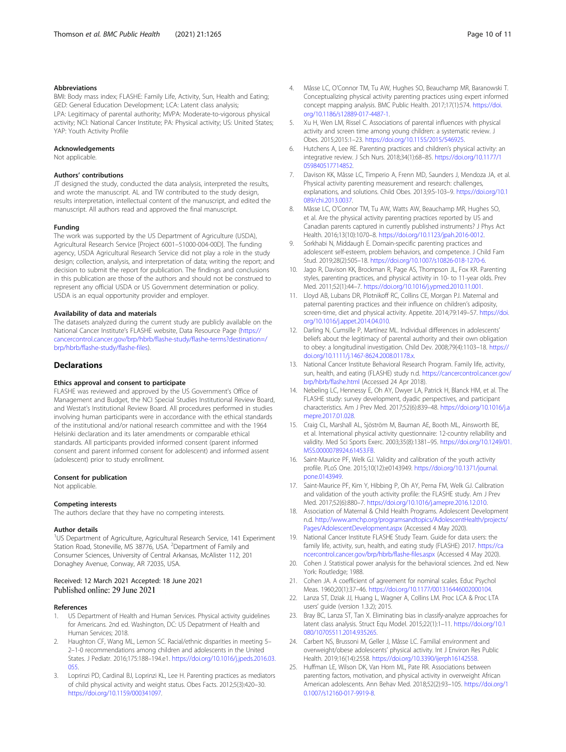#### <span id="page-9-0"></span>Abbreviations

BMI: Body mass index; FLASHE: Family Life, Activity, Sun, Health and Eating; GED: General Education Development; LCA: Latent class analysis; LPA: Legitimacy of parental authority; MVPA: Moderate-to-vigorous physical activity; NCI: National Cancer Institute; PA: Physical activity; US: United States; YAP: Youth Activity Profile

#### Acknowledgements

Not applicable.

#### Authors' contributions

JT designed the study, conducted the data analysis, interpreted the results, and wrote the manuscript. AL and TW contributed to the study design, results interpretation, intellectual content of the manuscript, and edited the manuscript. All authors read and approved the final manuscript.

#### Funding

The work was supported by the US Department of Agriculture (USDA), Agricultural Research Service [Project 6001–51000-004-00D]. The funding agency, USDA Agricultural Research Service did not play a role in the study design; collection, analysis, and interpretation of data; writing the report; and decision to submit the report for publication. The findings and conclusions in this publication are those of the authors and should not be construed to represent any official USDA or US Government determination or policy. USDA is an equal opportunity provider and employer.

#### Availability of data and materials

The datasets analyzed during the current study are publicly available on the National Cancer Institute's FLASHE website, Data Resource Page [\(https://](https://cancercontrol.cancer.gov/brp/hbrb/flashe-study/flashe-terms?destination=/brp/hbrb/flashe-study/flashe-files) [cancercontrol.cancer.gov/brp/hbrb/flashe-study/flashe-terms?destination=/](https://cancercontrol.cancer.gov/brp/hbrb/flashe-study/flashe-terms?destination=/brp/hbrb/flashe-study/flashe-files) [brp/hbrb/flashe-study/flashe-files\)](https://cancercontrol.cancer.gov/brp/hbrb/flashe-study/flashe-terms?destination=/brp/hbrb/flashe-study/flashe-files).

#### **Declarations**

#### Ethics approval and consent to participate

FLASHE was reviewed and approved by the US Government's Office of Management and Budget, the NCI Special Studies Institutional Review Board, and Westat's Institutional Review Board. All procedures performed in studies involving human participants were in accordance with the ethical standards of the institutional and/or national research committee and with the 1964 Helsinki declaration and its later amendments or comparable ethical standards. All participants provided informed consent (parent informed consent and parent informed consent for adolescent) and informed assent (adolescent) prior to study enrollment.

#### Consent for publication

Not applicable.

#### Competing interests

The authors declare that they have no competing interests.

#### Author details

<sup>1</sup>US Department of Agriculture, Agricultural Research Service, 141 Experiment Station Road, Stoneville, MS 38776, USA. <sup>2</sup>Department of Family and Consumer Sciences, University of Central Arkansas, McAlister 112, 201 Donaghey Avenue, Conway, AR 72035, USA.

#### Received: 12 March 2021 Accepted: 18 June 2021 Published online: 29 June 2021

#### References

- US Department of Health and Human Services. Physical activity guidelines for Americans. 2nd ed. Washington, DC: US Depatrment of Health and Human Services; 2018.
- Haughton CF, Wang ML, Lemon SC. Racial/ethnic disparities in meeting 5-2–1-0 recommendations among children and adolescents in the United States. J Pediatr. 2016;175:188–194.e1. [https://doi.org/10.1016/j.jpeds.2016.03.](https://doi.org/10.1016/j.jpeds.2016.03.055) [055.](https://doi.org/10.1016/j.jpeds.2016.03.055)
- 3. Loprinzi PD, Cardinal BJ, Loprinzi KL, Lee H. Parenting practices as mediators of child physical activity and weight status. Obes Facts. 2012;5(3):420–30. [https://doi.org/10.1159/000341097.](https://doi.org/10.1159/000341097)
- 4. Mâsse LC, O'Connor TM, Tu AW, Hughes SO, Beauchamp MR, Baranowski T. Conceptualizing physical activity parenting practices using expert informed concept mapping analysis. BMC Public Health. 2017;17(1):574. [https://doi.](https://doi.org/10.1186/s12889-017-4487-1) [org/10.1186/s12889-017-4487-1](https://doi.org/10.1186/s12889-017-4487-1).
- 5. Xu H, Wen LM, Rissel C. Associations of parental influences with physical activity and screen time among young children: a systematic review. J Obes. 2015;2015:1–23. <https://doi.org/10.1155/2015/546925>.
- 6. Hutchens A, Lee RE. Parenting practices and children's physical activity: an integrative review. J Sch Nurs. 2018;34(1):68–85. [https://doi.org/10.1177/1](https://doi.org/10.1177/1059840517714852) [059840517714852.](https://doi.org/10.1177/1059840517714852)
- 7. Davison KK, Mâsse LC, Timperio A, Frenn MD, Saunders J, Mendoza JA, et al. Physical activity parenting measurement and research: challenges, explanations, and solutions. Child Obes. 2013;9:S-103–9. [https://doi.org/10.1](https://doi.org/10.1089/chi.2013.0037) [089/chi.2013.0037](https://doi.org/10.1089/chi.2013.0037).
- 8. Mâsse LC, O'Connor TM, Tu AW, Watts AW, Beauchamp MR, Hughes SO, et al. Are the physical activity parenting practices reported by US and Canadian parents captured in currently published instruments? J Phys Act Health. 2016;13(10):1070–8. [https://doi.org/10.1123/jpah.2016-0012.](https://doi.org/10.1123/jpah.2016-0012)
- Sorkhabi N, Middaugh E. Domain-specific parenting practices and adolescent self-esteem, problem behaviors, and competence. J Child Fam Stud. 2019;28(2):505–18. <https://doi.org/10.1007/s10826-018-1270-6>.
- 10. Jago R, Davison KK, Brockman R, Page AS, Thompson JL, Fox KR. Parenting styles, parenting practices, and physical activity in 10- to 11-year olds. Prev Med. 2011;52(1):44–7. <https://doi.org/10.1016/j.ypmed.2010.11.001>.
- 11. Lloyd AB, Lubans DR, Plotnikoff RC, Collins CE, Morgan PJ. Maternal and paternal parenting practices and their influence on children's adiposity, screen-time, diet and physical activity. Appetite. 2014;79:149–57. [https://doi.](https://doi.org/10.1016/j.appet.2014.04.010) [org/10.1016/j.appet.2014.04.010](https://doi.org/10.1016/j.appet.2014.04.010).
- 12. Darling N, Cumsille P, Martínez ML. Individual differences in adolescents' beliefs about the legitimacy of parental authority and their own obligation to obey: a longitudinal investigation. Child Dev. 2008;79(4):1103–18. [https://](https://doi.org/10.1111/j.1467-8624.2008.01178.x) [doi.org/10.1111/j.1467-8624.2008.01178.x.](https://doi.org/10.1111/j.1467-8624.2008.01178.x)
- 13. National Cancer Institute Behavioral Research Program. Family life, activity, sun, health, and eating (FLASHE) study n.d. [https://cancercontrol.cancer.gov/](https://cancercontrol.cancer.gov/brp/hbrb/flashe.html) [brp/hbrb/flashe.html](https://cancercontrol.cancer.gov/brp/hbrb/flashe.html) (Accessed 24 Apr 2018).
- 14. Nebeling LC, Hennessy E, Oh AY, Dwyer LA, Patrick H, Blanck HM, et al. The FLASHE study: survey development, dyadic perspectives, and participant characteristics. Am J Prev Med. 2017;52(6):839–48. [https://doi.org/10.1016/j.a](https://doi.org/10.1016/j.amepre.2017.01.028) [mepre.2017.01.028.](https://doi.org/10.1016/j.amepre.2017.01.028)
- 15. Craig CL, Marshall AL, Sjöström M, Bauman AE, Booth ML, Ainsworth BE, et al. International physical activity questionnaire: 12-country reliability and validity. Med Sci Sports Exerc. 2003;35(8):1381–95. [https://doi.org/10.1249/01.](https://doi.org/10.1249/01.MSS.0000078924.61453.FB) [MSS.0000078924.61453.FB](https://doi.org/10.1249/01.MSS.0000078924.61453.FB).
- 16. Saint-Maurice PF, Welk GJ. Validity and calibration of the youth activity profile. PLoS One. 2015;10(12):e0143949. [https://doi.org/10.1371/journal.](https://doi.org/10.1371/journal.pone.0143949) [pone.0143949.](https://doi.org/10.1371/journal.pone.0143949)
- 17. Saint-Maurice PF, Kim Y, Hibbing P, Oh AY, Perna FM, Welk GJ. Calibration and validation of the youth activity profile: the FLASHE study. Am J Prev Med. 2017;52(6):880–7. <https://doi.org/10.1016/j.amepre.2016.12.010>.
- 18. Association of Maternal & Child Health Programs. Adolescent Development n.d. [http://www.amchp.org/programsandtopics/AdolescentHealth/projects/](http://www.amchp.org/programsandtopics/AdolescentHealth/projects/Pages/AdolescentDevelopment.aspx) [Pages/AdolescentDevelopment.aspx](http://www.amchp.org/programsandtopics/AdolescentHealth/projects/Pages/AdolescentDevelopment.aspx) (Accessed 4 May 2020).
- 19. National Cancer Institute FLASHE Study Team. Guide for data users: the family life, activity, sun, health, and eating study (FLASHE) 2017. [https://ca](https://cancercontrol.cancer.gov/brp/hbrb/flashe-files.aspx) [ncercontrol.cancer.gov/brp/hbrb/flashe-files.aspx](https://cancercontrol.cancer.gov/brp/hbrb/flashe-files.aspx) (Accessed 4 May 2020).
- 20. Cohen J. Statistical power analysis for the behavioral sciences. 2nd ed. New York: Routledge; 1988.
- 21. Cohen JA. A coefficient of agreement for nominal scales. Educ Psychol Meas. 1960;20(1):37–46. [https://doi.org/10.1177/001316446002000104.](https://doi.org/10.1177/001316446002000104)
- 22. Lanza ST, Dziak JJ, Huang L, Wagner A, Collins LM. Proc LCA & Proc LTA users' guide (version 1.3.2); 2015.
- 23. Bray BC, Lanza ST, Tan X. Eliminating bias in classify-analyze approaches for latent class analysis. Struct Equ Model. 2015;22(1):1–11. [https://doi.org/10.1](https://doi.org/10.1080/10705511.2014.935265) [080/10705511.2014.935265](https://doi.org/10.1080/10705511.2014.935265).
- 24. Carbert NS, Brussoni M, Geller J, Mâsse LC. Familial environment and overweight/obese adolescents' physical activity. Int J Environ Res Public Health. 2019;16(14):2558. <https://doi.org/10.3390/ijerph16142558>.
- 25. Huffman LE, Wilson DK, Van Horn ML, Pate RR. Associations between parenting factors, motivation, and physical activity in overweight African American adolescents. Ann Behav Med. 2018;52(2):93–105. [https://doi.org/1](https://doi.org/10.1007/s12160-017-9919-8) [0.1007/s12160-017-9919-8.](https://doi.org/10.1007/s12160-017-9919-8)